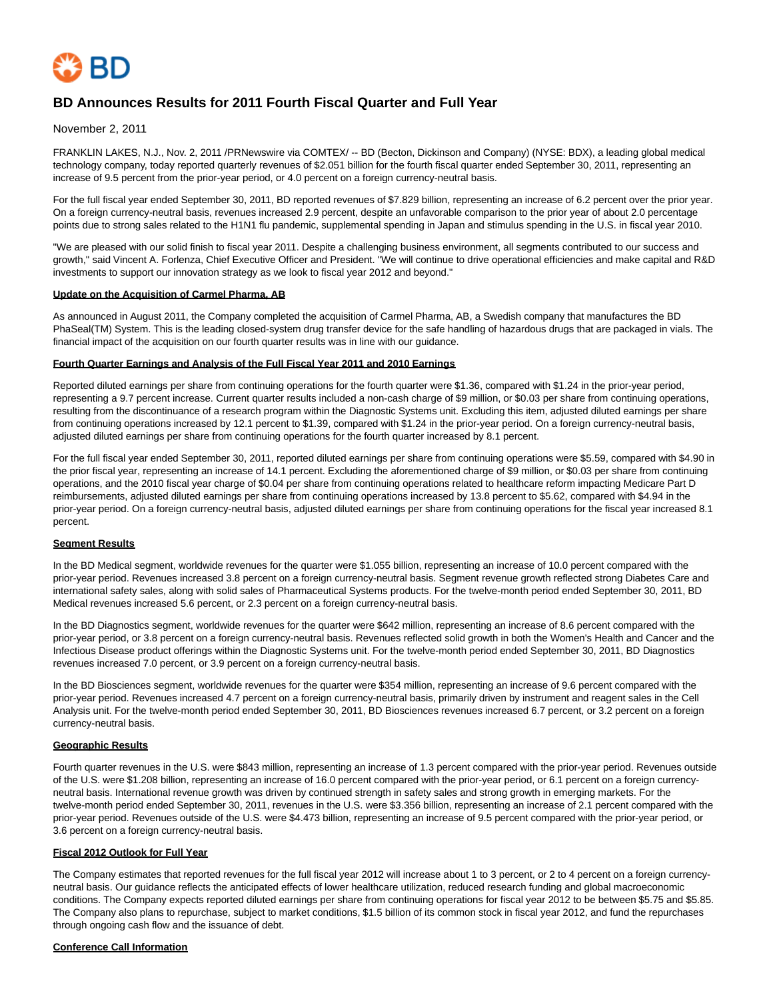

# **BD Announces Results for 2011 Fourth Fiscal Quarter and Full Year**

November 2, 2011

FRANKLIN LAKES, N.J., Nov. 2, 2011 /PRNewswire via COMTEX/ -- BD (Becton, Dickinson and Company) (NYSE: BDX), a leading global medical technology company, today reported quarterly revenues of \$2.051 billion for the fourth fiscal quarter ended September 30, 2011, representing an increase of 9.5 percent from the prior-year period, or 4.0 percent on a foreign currency-neutral basis.

For the full fiscal year ended September 30, 2011, BD reported revenues of \$7.829 billion, representing an increase of 6.2 percent over the prior year. On a foreign currency-neutral basis, revenues increased 2.9 percent, despite an unfavorable comparison to the prior year of about 2.0 percentage points due to strong sales related to the H1N1 flu pandemic, supplemental spending in Japan and stimulus spending in the U.S. in fiscal year 2010.

"We are pleased with our solid finish to fiscal year 2011. Despite a challenging business environment, all segments contributed to our success and growth," said Vincent A. Forlenza, Chief Executive Officer and President. "We will continue to drive operational efficiencies and make capital and R&D investments to support our innovation strategy as we look to fiscal year 2012 and beyond."

#### **Update on the Acquisition of Carmel Pharma, AB**

As announced in August 2011, the Company completed the acquisition of Carmel Pharma, AB, a Swedish company that manufactures the BD PhaSeal(TM) System. This is the leading closed-system drug transfer device for the safe handling of hazardous drugs that are packaged in vials. The financial impact of the acquisition on our fourth quarter results was in line with our guidance.

#### **Fourth Quarter Earnings and Analysis of the Full Fiscal Year 2011 and 2010 Earnings**

Reported diluted earnings per share from continuing operations for the fourth quarter were \$1.36, compared with \$1.24 in the prior-year period, representing a 9.7 percent increase. Current quarter results included a non-cash charge of \$9 million, or \$0.03 per share from continuing operations, resulting from the discontinuance of a research program within the Diagnostic Systems unit. Excluding this item, adjusted diluted earnings per share from continuing operations increased by 12.1 percent to \$1.39, compared with \$1.24 in the prior-year period. On a foreign currency-neutral basis, adjusted diluted earnings per share from continuing operations for the fourth quarter increased by 8.1 percent.

For the full fiscal year ended September 30, 2011, reported diluted earnings per share from continuing operations were \$5.59, compared with \$4.90 in the prior fiscal year, representing an increase of 14.1 percent. Excluding the aforementioned charge of \$9 million, or \$0.03 per share from continuing operations, and the 2010 fiscal year charge of \$0.04 per share from continuing operations related to healthcare reform impacting Medicare Part D reimbursements, adjusted diluted earnings per share from continuing operations increased by 13.8 percent to \$5.62, compared with \$4.94 in the prior-year period. On a foreign currency-neutral basis, adjusted diluted earnings per share from continuing operations for the fiscal year increased 8.1 percent.

### **Segment Results**

In the BD Medical segment, worldwide revenues for the quarter were \$1.055 billion, representing an increase of 10.0 percent compared with the prior-year period. Revenues increased 3.8 percent on a foreign currency-neutral basis. Segment revenue growth reflected strong Diabetes Care and international safety sales, along with solid sales of Pharmaceutical Systems products. For the twelve-month period ended September 30, 2011, BD Medical revenues increased 5.6 percent, or 2.3 percent on a foreign currency-neutral basis.

In the BD Diagnostics segment, worldwide revenues for the quarter were \$642 million, representing an increase of 8.6 percent compared with the prior-year period, or 3.8 percent on a foreign currency-neutral basis. Revenues reflected solid growth in both the Women's Health and Cancer and the Infectious Disease product offerings within the Diagnostic Systems unit. For the twelve-month period ended September 30, 2011, BD Diagnostics revenues increased 7.0 percent, or 3.9 percent on a foreign currency-neutral basis.

In the BD Biosciences segment, worldwide revenues for the quarter were \$354 million, representing an increase of 9.6 percent compared with the prior-year period. Revenues increased 4.7 percent on a foreign currency-neutral basis, primarily driven by instrument and reagent sales in the Cell Analysis unit. For the twelve-month period ended September 30, 2011, BD Biosciences revenues increased 6.7 percent, or 3.2 percent on a foreign currency-neutral basis.

### **Geographic Results**

Fourth quarter revenues in the U.S. were \$843 million, representing an increase of 1.3 percent compared with the prior-year period. Revenues outside of the U.S. were \$1.208 billion, representing an increase of 16.0 percent compared with the prior-year period, or 6.1 percent on a foreign currencyneutral basis. International revenue growth was driven by continued strength in safety sales and strong growth in emerging markets. For the twelve-month period ended September 30, 2011, revenues in the U.S. were \$3.356 billion, representing an increase of 2.1 percent compared with the prior-year period. Revenues outside of the U.S. were \$4.473 billion, representing an increase of 9.5 percent compared with the prior-year period, or 3.6 percent on a foreign currency-neutral basis.

### **Fiscal 2012 Outlook for Full Year**

The Company estimates that reported revenues for the full fiscal year 2012 will increase about 1 to 3 percent, or 2 to 4 percent on a foreign currencyneutral basis. Our guidance reflects the anticipated effects of lower healthcare utilization, reduced research funding and global macroeconomic conditions. The Company expects reported diluted earnings per share from continuing operations for fiscal year 2012 to be between \$5.75 and \$5.85. The Company also plans to repurchase, subject to market conditions, \$1.5 billion of its common stock in fiscal year 2012, and fund the repurchases through ongoing cash flow and the issuance of debt.

#### **Conference Call Information**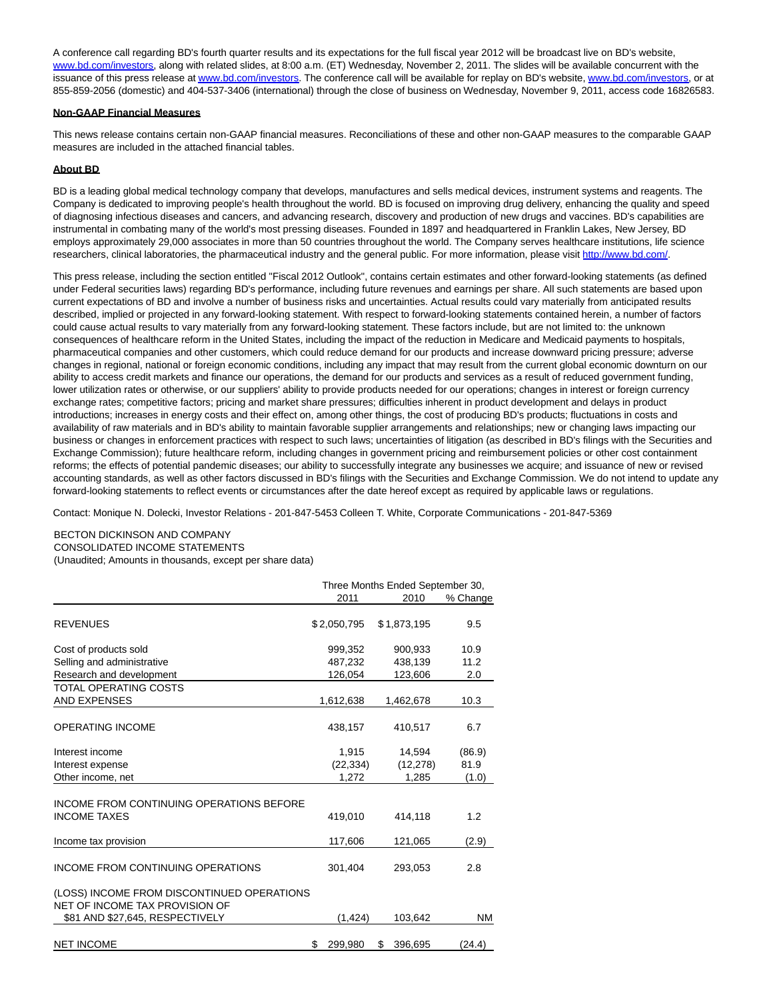A conference call regarding BD's fourth quarter results and its expectations for the full fiscal year 2012 will be broadcast live on BD's website, [www.bd.com/investors,](http://www.bd.com/investors) along with related slides, at 8:00 a.m. (ET) Wednesday, November 2, 2011. The slides will be available concurrent with the issuance of this press release a[t www.bd.com/investors.](http://www.bd.com/investors) The conference call will be available for replay on BD's website, [www.bd.com/investors,](http://www.bd.com/investors) or at 855-859-2056 (domestic) and 404-537-3406 (international) through the close of business on Wednesday, November 9, 2011, access code 16826583.

#### **Non-GAAP Financial Measures**

This news release contains certain non-GAAP financial measures. Reconciliations of these and other non-GAAP measures to the comparable GAAP measures are included in the attached financial tables.

### **About BD**

BD is a leading global medical technology company that develops, manufactures and sells medical devices, instrument systems and reagents. The Company is dedicated to improving people's health throughout the world. BD is focused on improving drug delivery, enhancing the quality and speed of diagnosing infectious diseases and cancers, and advancing research, discovery and production of new drugs and vaccines. BD's capabilities are instrumental in combating many of the world's most pressing diseases. Founded in 1897 and headquartered in Franklin Lakes, New Jersey, BD employs approximately 29,000 associates in more than 50 countries throughout the world. The Company serves healthcare institutions, life science researchers, clinical laboratories, the pharmaceutical industry and the general public. For more information, please visit [http://www.bd.com/.](http://www.bd.com/)

This press release, including the section entitled "Fiscal 2012 Outlook", contains certain estimates and other forward-looking statements (as defined under Federal securities laws) regarding BD's performance, including future revenues and earnings per share. All such statements are based upon current expectations of BD and involve a number of business risks and uncertainties. Actual results could vary materially from anticipated results described, implied or projected in any forward-looking statement. With respect to forward-looking statements contained herein, a number of factors could cause actual results to vary materially from any forward-looking statement. These factors include, but are not limited to: the unknown consequences of healthcare reform in the United States, including the impact of the reduction in Medicare and Medicaid payments to hospitals, pharmaceutical companies and other customers, which could reduce demand for our products and increase downward pricing pressure; adverse changes in regional, national or foreign economic conditions, including any impact that may result from the current global economic downturn on our ability to access credit markets and finance our operations, the demand for our products and services as a result of reduced government funding, lower utilization rates or otherwise, or our suppliers' ability to provide products needed for our operations; changes in interest or foreign currency exchange rates; competitive factors; pricing and market share pressures; difficulties inherent in product development and delays in product introductions; increases in energy costs and their effect on, among other things, the cost of producing BD's products; fluctuations in costs and availability of raw materials and in BD's ability to maintain favorable supplier arrangements and relationships; new or changing laws impacting our business or changes in enforcement practices with respect to such laws; uncertainties of litigation (as described in BD's filings with the Securities and Exchange Commission); future healthcare reform, including changes in government pricing and reimbursement policies or other cost containment reforms; the effects of potential pandemic diseases; our ability to successfully integrate any businesses we acquire; and issuance of new or revised accounting standards, as well as other factors discussed in BD's filings with the Securities and Exchange Commission. We do not intend to update any forward-looking statements to reflect events or circumstances after the date hereof except as required by applicable laws or regulations.

Contact: Monique N. Dolecki, Investor Relations - 201-847-5453 Colleen T. White, Corporate Communications - 201-847-5369

## BECTON DICKINSON AND COMPANY

CONSOLIDATED INCOME STATEMENTS

(Unaudited; Amounts in thousands, except per share data)

|                                                                              | Three Months Ended September 30, |               |          |  |  |  |
|------------------------------------------------------------------------------|----------------------------------|---------------|----------|--|--|--|
|                                                                              | 2011                             | 2010          | % Change |  |  |  |
| <b>REVENUES</b>                                                              | \$2,050,795                      | \$1,873,195   | 9.5      |  |  |  |
| Cost of products sold                                                        | 999,352                          | 900,933       | 10.9     |  |  |  |
| Selling and administrative                                                   | 487,232                          | 438,139       | 11.2     |  |  |  |
| Research and development                                                     | 126,054                          | 123,606       | 2.0      |  |  |  |
| TOTAL OPERATING COSTS                                                        |                                  |               |          |  |  |  |
| <b>AND EXPENSES</b>                                                          | 1,612,638                        | 1,462,678     | 10.3     |  |  |  |
| <b>OPERATING INCOME</b>                                                      | 438.157                          | 410,517       | 6.7      |  |  |  |
| Interest income                                                              | 1,915                            | 14,594        | (86.9)   |  |  |  |
| Interest expense                                                             | (22, 334)                        | (12, 278)     | 81.9     |  |  |  |
| Other income, net                                                            | 1,272                            | 1,285         | (1.0)    |  |  |  |
| INCOME FROM CONTINUING OPERATIONS BEFORE<br><b>INCOME TAXES</b>              | 419.010                          | 414.118       | 1.2      |  |  |  |
| Income tax provision                                                         | 117,606                          | 121,065       | (2.9)    |  |  |  |
| <b>INCOME FROM CONTINUING OPERATIONS</b>                                     | 301,404                          | 293,053       | 2.8      |  |  |  |
| (LOSS) INCOME FROM DISCONTINUED OPERATIONS<br>NET OF INCOME TAX PROVISION OF |                                  |               |          |  |  |  |
| \$81 AND \$27,645, RESPECTIVELY                                              | (1, 424)                         | 103,642       | ΝM       |  |  |  |
| <b>NET INCOME</b>                                                            | 299,980<br>\$                    | \$<br>396,695 | (24.4)   |  |  |  |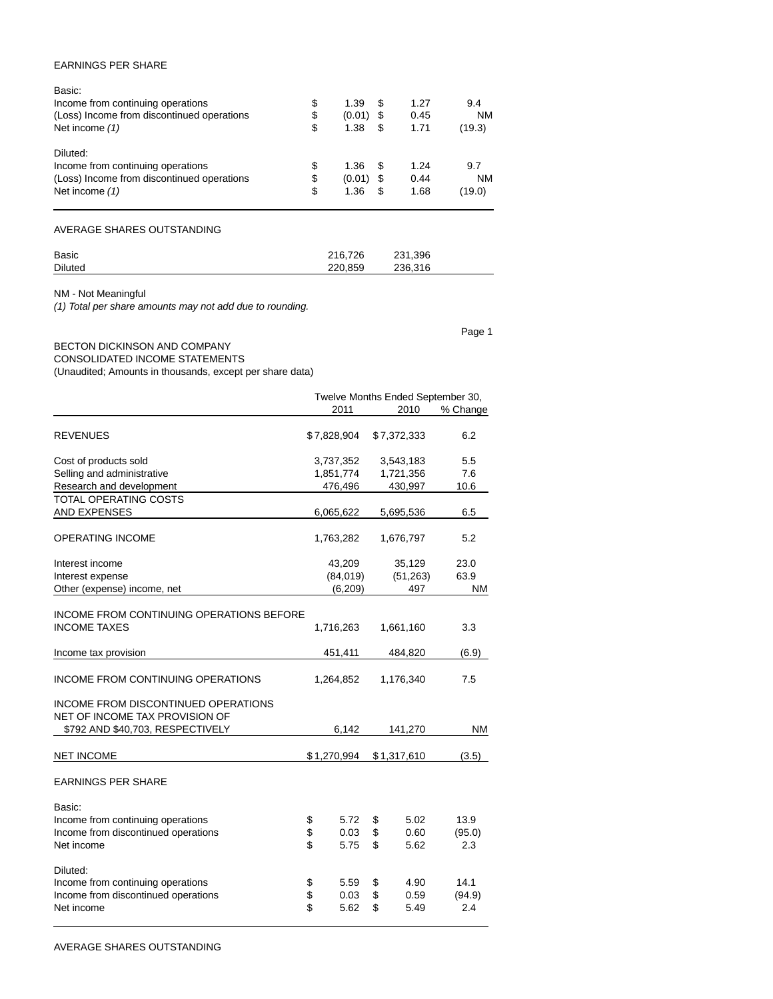## EARNINGS PER SHARE

| Basic:                                     |              |    |      |           |
|--------------------------------------------|--------------|----|------|-----------|
| Income from continuing operations          | \$<br>1.39   | S  | 1.27 | 9.4       |
| (Loss) Income from discontinued operations | \$<br>(0.01) | S  | 0.45 | <b>NM</b> |
| Net income (1)                             | \$<br>1.38   | \$ | 1.71 | (19.3)    |
| Diluted:                                   |              |    |      |           |
| Income from continuing operations          | \$<br>1.36   | \$ | 1.24 | 9.7       |
| (Loss) Income from discontinued operations | \$<br>(0.01) | \$ | 0.44 | <b>NM</b> |
| Net income (1)                             | \$<br>1.36   | \$ | 1.68 | (19.0)    |
|                                            |              |    |      |           |

AVERAGE SHARES OUTSTANDING

| Basic          | 216.726 | 231,396 |  |
|----------------|---------|---------|--|
| <b>Diluted</b> | 220.859 | 236.316 |  |

Page 1

NM - Not Meaningful

(1) Total per share amounts may not add due to rounding.

## BECTON DICKINSON AND COMPANY CONSOLIDATED INCOME STATEMENTS

(Unaudited; Amounts in thousands, except per share data)

|                                                                                                           |                        |             |             |             | Twelve Months Ended September 30, |
|-----------------------------------------------------------------------------------------------------------|------------------------|-------------|-------------|-------------|-----------------------------------|
|                                                                                                           |                        | 2011        |             | 2010        | % Change                          |
| <b>REVENUES</b>                                                                                           | \$7,828,904            |             | \$7,372,333 |             | 6.2                               |
| Cost of products sold                                                                                     |                        | 3,737,352   | 3,543,183   |             | 5.5                               |
| Selling and administrative                                                                                |                        | 1,851,774   |             | 1,721,356   | 7.6                               |
| Research and development                                                                                  |                        | 476,496     | 430,997     |             | 10.6                              |
| <b>TOTAL OPERATING COSTS</b>                                                                              |                        |             |             |             |                                   |
| <b>AND EXPENSES</b>                                                                                       |                        | 6,065,622   |             | 5,695,536   | 6.5                               |
| OPERATING INCOME                                                                                          | 1,763,282<br>1,676,797 |             |             |             | 5.2                               |
| Interest income                                                                                           | 43,209<br>35,129       |             |             |             | 23.0                              |
| Interest expense                                                                                          |                        | (84, 019)   |             | (51, 263)   | 63.9                              |
| Other (expense) income, net                                                                               |                        | (6, 209)    |             | 497         | ΝM                                |
| INCOME FROM CONTINUING OPERATIONS BEFORE                                                                  |                        |             |             | 1,661,160   |                                   |
| <b>INCOME TAXES</b>                                                                                       | 1,716,263              |             |             |             | 3.3                               |
| Income tax provision                                                                                      | 451,411                |             |             | 484,820     | (6.9)                             |
| INCOME FROM CONTINUING OPERATIONS                                                                         |                        | 1,264,852   |             | 1,176,340   | 7.5                               |
| INCOME FROM DISCONTINUED OPERATIONS<br>NET OF INCOME TAX PROVISION OF<br>\$792 AND \$40,703, RESPECTIVELY |                        | 6,142       |             | 141,270     | <b>NM</b>                         |
|                                                                                                           |                        |             |             |             |                                   |
| <b>NET INCOME</b>                                                                                         |                        | \$1,270,994 |             | \$1,317,610 | (3.5)                             |
| <b>EARNINGS PER SHARE</b>                                                                                 |                        |             |             |             |                                   |
| Basic:                                                                                                    |                        |             |             |             |                                   |
| Income from continuing operations                                                                         | \$                     | 5.72        | \$          | 5.02        | 13.9                              |
| Income from discontinued operations                                                                       | \$                     | 0.03        | \$          | 0.60        | (95.0)                            |
| Net income                                                                                                | \$                     | 5.75        | \$          | 5.62        | 2.3                               |
| Diluted:                                                                                                  |                        |             |             |             |                                   |
| Income from continuing operations                                                                         | \$                     | 5.59        | \$          | 4.90        | 14.1                              |
| Income from discontinued operations                                                                       | \$                     | 0.03        | \$          | 0.59        | (94.9)                            |
| Net income                                                                                                | \$                     | 5.62        | \$          | 5.49        | 2.4                               |
|                                                                                                           |                        |             |             |             |                                   |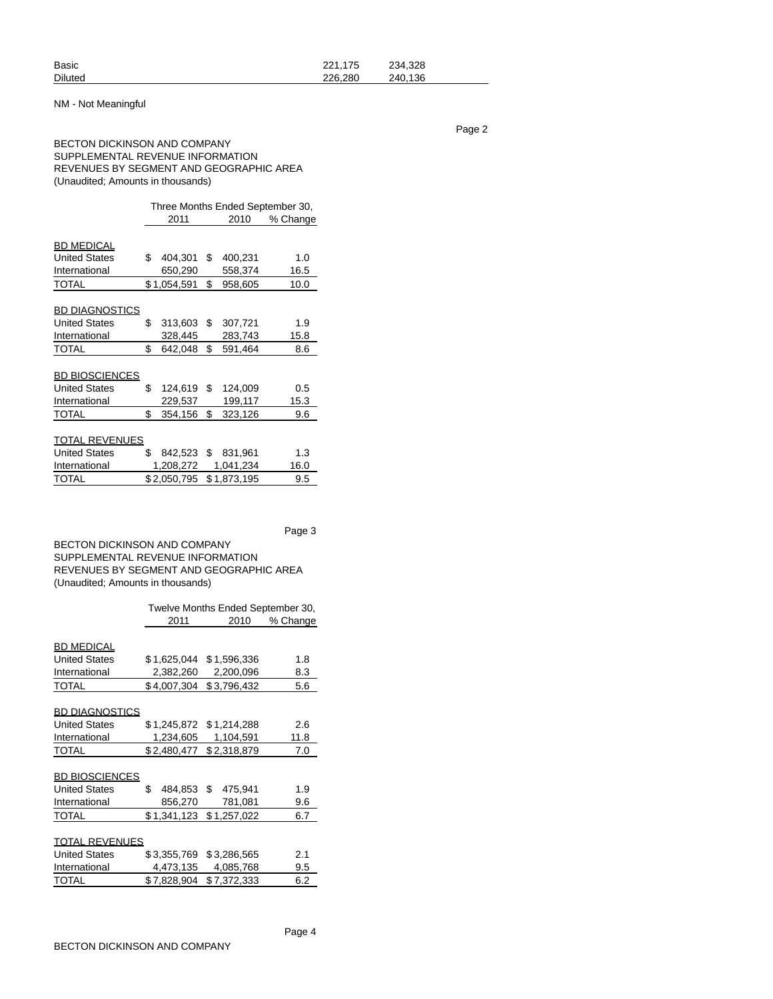| <b>Basic</b>   | 221.175 | 234.328 |
|----------------|---------|---------|
| <b>Diluted</b> | 226.280 | 240.136 |

## NM - Not Meaningful

Page 2

## BECTON DICKINSON AND COMPANY SUPPLEMENTAL REVENUE INFORMATION REVENUES BY SEGMENT AND GEOGRAPHIC AREA (Unaudited; Amounts in thousands)

|                       | Three Months Ended September 30, |             |    |             |          |  |  |  |
|-----------------------|----------------------------------|-------------|----|-------------|----------|--|--|--|
|                       | 2011                             |             |    | 2010        | % Change |  |  |  |
|                       |                                  |             |    |             |          |  |  |  |
| BD MEDICAL            |                                  |             |    |             |          |  |  |  |
| <b>United States</b>  | \$                               | 404,301     | \$ | 400,231     | 1.0      |  |  |  |
| International         |                                  | 650,290     |    | 558,374     | 16.5     |  |  |  |
| TOTAL                 |                                  | \$1,054,591 | \$ | 958,605     | 10.0     |  |  |  |
|                       |                                  |             |    |             |          |  |  |  |
| <u>BD DIAGNOSTICS</u> |                                  |             |    |             |          |  |  |  |
| <b>United States</b>  | \$                               | 313,603     | \$ | 307,721     | 1.9      |  |  |  |
| International         |                                  | 328,445     |    | 283,743     | 15.8     |  |  |  |
| TOTAL                 | \$                               | 642,048     | \$ | 591,464     | 8.6      |  |  |  |
|                       |                                  |             |    |             |          |  |  |  |
| <b>BD BIOSCIENCES</b> |                                  |             |    |             |          |  |  |  |
| <b>United States</b>  | \$                               | 124.619     | \$ | 124,009     | 0.5      |  |  |  |
| International         |                                  | 229,537     |    | 199,117     | 15.3     |  |  |  |
| TOTAL                 | \$                               | 354,156     | \$ | 323,126     | 9.6      |  |  |  |
|                       |                                  |             |    |             |          |  |  |  |
| TOTAL REVENUES        |                                  |             |    |             |          |  |  |  |
| <b>United States</b>  | \$                               | 842,523 \$  |    | 831,961     | 1.3      |  |  |  |
| International         |                                  | 1,208,272   |    | 1,041,234   | 16.0     |  |  |  |
| TOTAL                 |                                  | \$2,050,795 |    | \$1,873,195 | 9.5      |  |  |  |
|                       |                                  |             |    |             |          |  |  |  |

Page 3

BECTON DICKINSON AND COMPANY SUPPLEMENTAL REVENUE INFORMATION REVENUES BY SEGMENT AND GEOGRAPHIC AREA (Unaudited; Amounts in thousands)

|                       | Twelve Months Ended September 30, |                         |          |  |  |  |  |  |  |
|-----------------------|-----------------------------------|-------------------------|----------|--|--|--|--|--|--|
|                       | 2011                              | 2010                    | % Change |  |  |  |  |  |  |
|                       |                                   |                         |          |  |  |  |  |  |  |
| <b>BD MEDICAL</b>     |                                   |                         |          |  |  |  |  |  |  |
| <b>United States</b>  | \$1,625,044                       | \$1,596,336             | 1.8      |  |  |  |  |  |  |
| International         | 2,382,260                         | 2,200,096               | 8.3      |  |  |  |  |  |  |
| <b>TOTAL</b>          | \$4,007,304                       | \$3,796,432             | 5.6      |  |  |  |  |  |  |
|                       |                                   |                         |          |  |  |  |  |  |  |
| <b>BD DIAGNOSTICS</b> |                                   |                         |          |  |  |  |  |  |  |
| <b>United States</b>  |                                   | \$1,245,872 \$1,214,288 | 2.6      |  |  |  |  |  |  |
| International         | 1,234,605                         | 1,104,591               | 11.8     |  |  |  |  |  |  |
| <b>TOTAL</b>          | \$2,480,477                       | \$2,318,879             | 7.0      |  |  |  |  |  |  |
|                       |                                   |                         |          |  |  |  |  |  |  |
| <b>BD BIOSCIENCES</b> |                                   |                         |          |  |  |  |  |  |  |
| <b>United States</b>  | \$<br>484,853 \$                  | 475,941                 | 1.9      |  |  |  |  |  |  |
| International         | 856,270                           | 781,081                 | 9.6      |  |  |  |  |  |  |
| <b>TOTAL</b>          | \$1,341,123                       | \$1,257,022             | 6.7      |  |  |  |  |  |  |
|                       |                                   |                         |          |  |  |  |  |  |  |
| <b>TOTAL REVENUES</b> |                                   |                         |          |  |  |  |  |  |  |
| <b>United States</b>  | \$3,355,769                       | \$3,286,565             | 2.1      |  |  |  |  |  |  |
| International         | 4,473,135                         | 4,085,768               | 9.5      |  |  |  |  |  |  |
| <b>TOTAL</b>          | \$7,828,904                       | \$7,372,333             | 6.2      |  |  |  |  |  |  |
|                       |                                   |                         |          |  |  |  |  |  |  |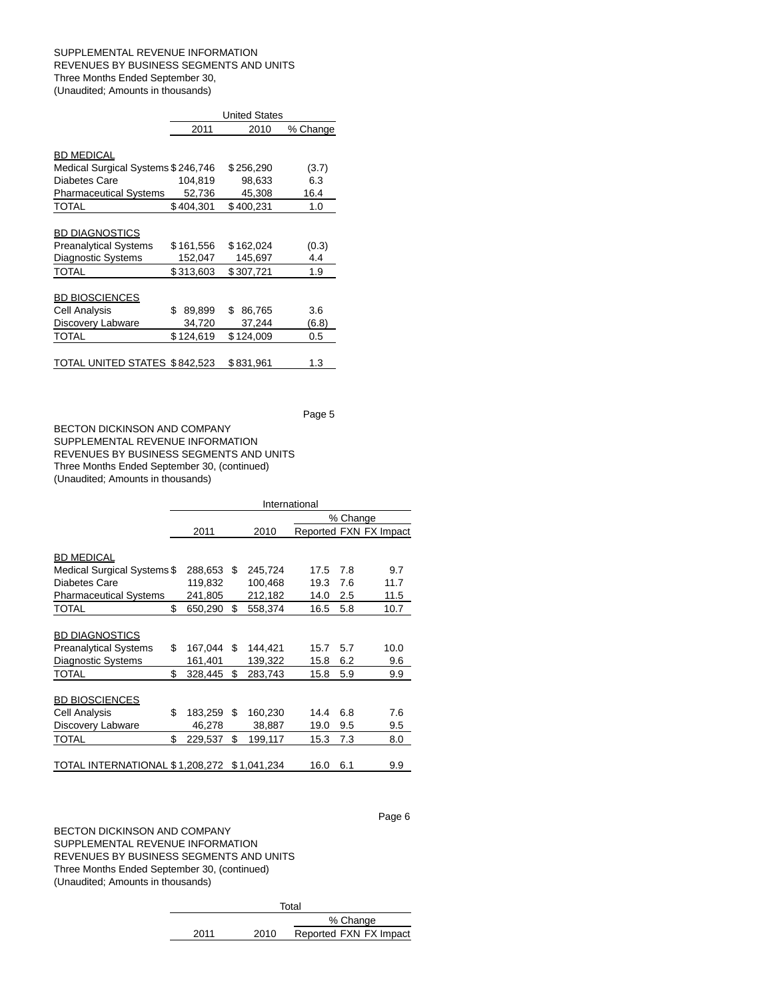### SUPPLEMENTAL REVENUE INFORMATION REVENUES BY BUSINESS SEGMENTS AND UNITS Three Months Ended September 30, (Unaudited; Amounts in thousands)

|                                    | <b>United States</b> |              |          |  |  |  |  |  |
|------------------------------------|----------------------|--------------|----------|--|--|--|--|--|
|                                    | 2011                 | 2010         | % Change |  |  |  |  |  |
|                                    |                      |              |          |  |  |  |  |  |
| <b>BD MEDICAL</b>                  |                      |              |          |  |  |  |  |  |
| Medical Surgical Systems \$246,746 |                      | \$256,290    | (3.7)    |  |  |  |  |  |
| Diabetes Care                      | 104,819              | 98,633       | 6.3      |  |  |  |  |  |
| <b>Pharmaceutical Systems</b>      | 52,736               | 45,308       | 16.4     |  |  |  |  |  |
| <b>TOTAL</b>                       | \$404,301            | \$400,231    | 1.0      |  |  |  |  |  |
|                                    |                      |              |          |  |  |  |  |  |
| <b>BD DIAGNOSTICS</b>              |                      |              |          |  |  |  |  |  |
| <b>Preanalytical Systems</b>       | \$161,556            | \$162,024    | (0.3)    |  |  |  |  |  |
| Diagnostic Systems                 | 152,047              | 145,697      | 4.4      |  |  |  |  |  |
| <b>TOTAL</b>                       | \$313,603            | \$307,721    | 1.9      |  |  |  |  |  |
|                                    |                      |              |          |  |  |  |  |  |
| <b>BD BIOSCIENCES</b>              |                      |              |          |  |  |  |  |  |
| Cell Analysis                      | \$<br>89,899         | \$<br>86,765 | 3.6      |  |  |  |  |  |
| Discovery Labware                  | 34,720               | 37,244       | (6.8)    |  |  |  |  |  |
| TOTAL                              | \$124,619            | \$124,009    | 0.5      |  |  |  |  |  |
|                                    |                      |              |          |  |  |  |  |  |
| TOTAL UNITED STATES \$842,523      |                      | \$831,961    | 1.3      |  |  |  |  |  |

Page 5

BECTON DICKINSON AND COMPANY SUPPLEMENTAL REVENUE INFORMATION REVENUES BY BUSINESS SEGMENTS AND UNITS Three Months Ended September 30, (continued) (Unaudited; Amounts in thousands)

|                                 | International |         |    |             |          |     |                        |
|---------------------------------|---------------|---------|----|-------------|----------|-----|------------------------|
|                                 |               |         |    |             | % Change |     |                        |
|                                 |               | 2011    |    | 2010        |          |     | Reported FXN FX Impact |
|                                 |               |         |    |             |          |     |                        |
| <b>BD MEDICAL</b>               |               |         |    |             |          |     |                        |
| Medical Surgical Systems \$     |               | 288,653 | \$ | 245,724     | 17.5     | 7.8 | 9.7                    |
| <b>Diabetes Care</b>            |               | 119,832 |    | 100,468     | 19.3     | 7.6 | 11.7                   |
| <b>Pharmaceutical Systems</b>   |               | 241,805 |    | 212,182     | 14.0     | 2.5 | 11.5                   |
| TOTAL                           | \$            | 650,290 | \$ | 558,374     | 16.5     | 5.8 | 10.7                   |
|                                 |               |         |    |             |          |     |                        |
| <b>BD DIAGNOSTICS</b>           |               |         |    |             |          |     |                        |
| <b>Preanalytical Systems</b>    | \$            | 167,044 | \$ | 144,421     | 15.7     | 5.7 | 10.0                   |
| <b>Diagnostic Systems</b>       |               | 161,401 |    | 139,322     | 15.8     | 6.2 | 9.6                    |
| TOTAL                           | \$            | 328,445 | \$ | 283,743     | 15.8     | 5.9 | 9.9                    |
|                                 |               |         |    |             |          |     |                        |
| <b>BD BIOSCIENCES</b>           |               |         |    |             |          |     |                        |
| Cell Analysis                   | \$            | 183,259 | \$ | 160,230     | 14.4     | 6.8 | 7.6                    |
| Discovery Labware               |               | 46,278  |    | 38,887      | 19.0     | 9.5 | 9.5                    |
| TOTAL                           | \$            | 229,537 | \$ | 199,117     | 15.3     | 7.3 | 8.0                    |
|                                 |               |         |    |             |          |     |                        |
| TOTAL INTERNATIONAL \$1,208,272 |               |         |    | \$1,041,234 | 16.0     | 6.1 | 9.9                    |

BECTON DICKINSON AND COMPANY SUPPLEMENTAL REVENUE INFORMATION REVENUES BY BUSINESS SEGMENTS AND UNITS Three Months Ended September 30, (continued) (Unaudited; Amounts in thousands)

|      |      | Total                  |
|------|------|------------------------|
|      |      | % Change               |
| 2011 | 2010 | Reported FXN FX Impact |

Page 6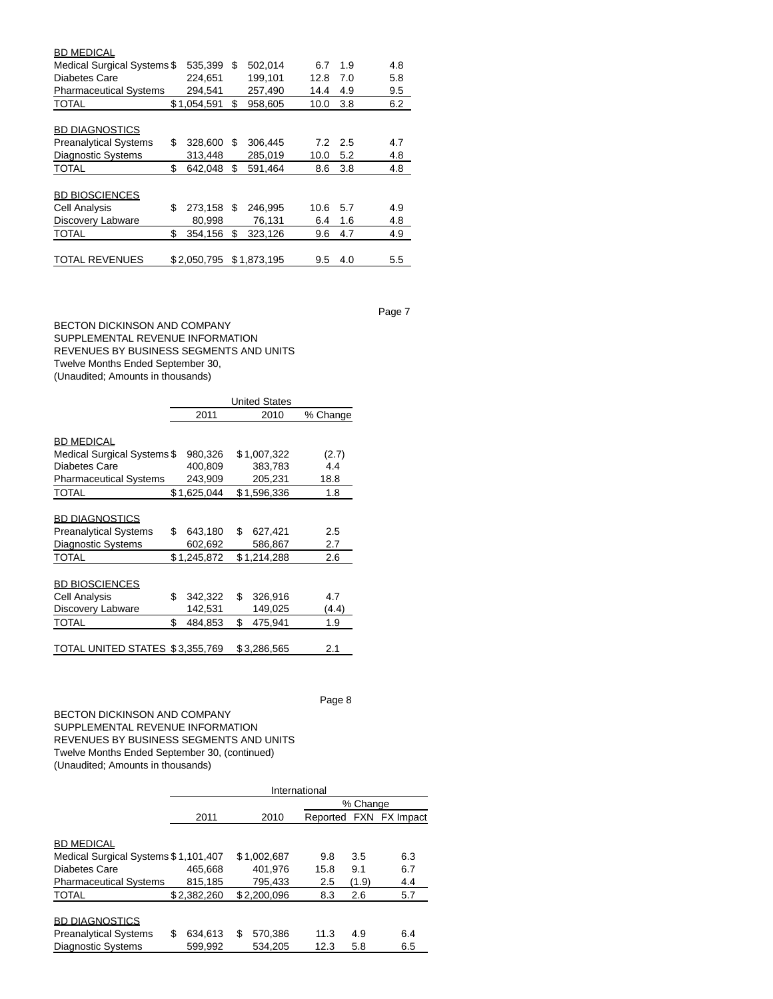| <b>BD MEDICAL</b>             |               |    |             |      |     |     |
|-------------------------------|---------------|----|-------------|------|-----|-----|
| Medical Surgical Systems \$   | 535,399       | \$ | 502,014     | 6.7  | 1.9 | 4.8 |
| Diabetes Care                 | 224.651       |    | 199,101     | 12.8 | 7.0 | 5.8 |
| <b>Pharmaceutical Systems</b> | 294,541       |    | 257,490     | 14.4 | 4.9 | 9.5 |
| <b>TOTAL</b>                  | \$1,054,591   | \$ | 958,605     | 10.0 | 3.8 | 6.2 |
|                               |               |    |             |      |     |     |
| <b>BD DIAGNOSTICS</b>         |               |    |             |      |     |     |
| <b>Preanalytical Systems</b>  | \$<br>328,600 | S  | 306,445     | 7.2  | 2.5 | 4.7 |
| <b>Diagnostic Systems</b>     | 313,448       |    | 285,019     | 10.0 | 5.2 | 4.8 |
| <b>TOTAL</b>                  | \$<br>642.048 | \$ | 591.464     | 8.6  | 3.8 | 4.8 |
|                               |               |    |             |      |     |     |
| <b>BD BIOSCIENCES</b>         |               |    |             |      |     |     |
| Cell Analysis                 | \$<br>273,158 | S  | 246,995     | 10.6 | 5.7 | 4.9 |
| Discovery Labware             | 80,998        |    | 76,131      | 6.4  | 1.6 | 4.8 |
| <b>TOTAL</b>                  | \$<br>354,156 | \$ | 323,126     | 9.6  | 4.7 | 4.9 |
|                               |               |    |             |      |     |     |
| <b>TOTAL REVENUES</b>         | \$2.050.795   |    | \$1,873,195 | 9.5  | 4.0 | 5.5 |

BECTON DICKINSON AND COMPANY SUPPLEMENTAL REVENUE INFORMATION REVENUES BY BUSINESS SEGMENTS AND UNITS Twelve Months Ended September 30, (Unaudited; Amounts in thousands)

|                                 | <b>United States</b> |             |    |             |          |  |  |  |  |
|---------------------------------|----------------------|-------------|----|-------------|----------|--|--|--|--|
|                                 |                      | 2011        |    | 2010        | % Change |  |  |  |  |
|                                 |                      |             |    |             |          |  |  |  |  |
| <b>BD MEDICAL</b>               |                      |             |    |             |          |  |  |  |  |
| Medical Surgical Systems \$     |                      | 980,326     |    | \$1,007,322 | (2.7)    |  |  |  |  |
| Diabetes Care                   |                      | 400,809     |    | 383,783     | 4.4      |  |  |  |  |
| <b>Pharmaceutical Systems</b>   |                      | 243,909     |    | 205,231     | 18.8     |  |  |  |  |
| <b>TOTAL</b>                    |                      | \$1,625,044 |    | \$1,596,336 | 1.8      |  |  |  |  |
|                                 |                      |             |    |             |          |  |  |  |  |
| <b>BD DIAGNOSTICS</b>           |                      |             |    |             |          |  |  |  |  |
| <b>Preanalytical Systems</b>    | \$                   | 643,180     | \$ | 627,421     | 2.5      |  |  |  |  |
| Diagnostic Systems              |                      | 602,692     |    | 586,867     | 2.7      |  |  |  |  |
| TOTAL                           |                      | \$1,245,872 |    | \$1,214,288 | 2.6      |  |  |  |  |
|                                 |                      |             |    |             |          |  |  |  |  |
| <b>BD BIOSCIENCES</b>           |                      |             |    |             |          |  |  |  |  |
| Cell Analysis                   | \$                   | 342,322     | \$ | 326,916     | 4.7      |  |  |  |  |
| Discovery Labware               |                      | 142,531     |    | 149,025     | (4.4)    |  |  |  |  |
| TOTAL                           | \$                   | 484.853     | \$ | 475.941     | 1.9      |  |  |  |  |
|                                 |                      |             |    |             |          |  |  |  |  |
| TOTAL UNITED STATES \$3,355,769 |                      |             |    | \$3,286,565 | 2.1      |  |  |  |  |

Page 8

BECTON DICKINSON AND COMPANY SUPPLEMENTAL REVENUE INFORMATION REVENUES BY BUSINESS SEGMENTS AND UNITS Twelve Months Ended September 30, (continued) (Unaudited; Amounts in thousands)

|                                      | International |              |      |       |                        |  |  |  |  |  |
|--------------------------------------|---------------|--------------|------|-------|------------------------|--|--|--|--|--|
|                                      | % Change      |              |      |       |                        |  |  |  |  |  |
|                                      | 2011          | 2010         |      |       | Reported FXN FX Impact |  |  |  |  |  |
| <b>BD MEDICAL</b>                    |               |              |      |       |                        |  |  |  |  |  |
| Medical Surgical Systems \$1,101,407 |               | \$1.002.687  | 9.8  | 3.5   | 6.3                    |  |  |  |  |  |
| Diabetes Care                        | 465,668       | 401.976      | 15.8 | 9.1   | 6.7                    |  |  |  |  |  |
| <b>Pharmaceutical Systems</b>        | 815.185       | 795.433      | 2.5  | (1.9) | 4.4                    |  |  |  |  |  |
| <b>TOTAL</b>                         | \$2.382.260   | \$2,200,096  | 8.3  | 2.6   | 5.7                    |  |  |  |  |  |
| <b>BD DIAGNOSTICS</b>                |               |              |      |       |                        |  |  |  |  |  |
| <b>Preanalytical Systems</b>         | S<br>634.613  | 570.386<br>S | 11.3 | 4.9   | 6.4                    |  |  |  |  |  |
| <b>Diagnostic Systems</b>            | 599,992       | 534.205      | 12.3 | 5.8   | 6.5                    |  |  |  |  |  |

Page 7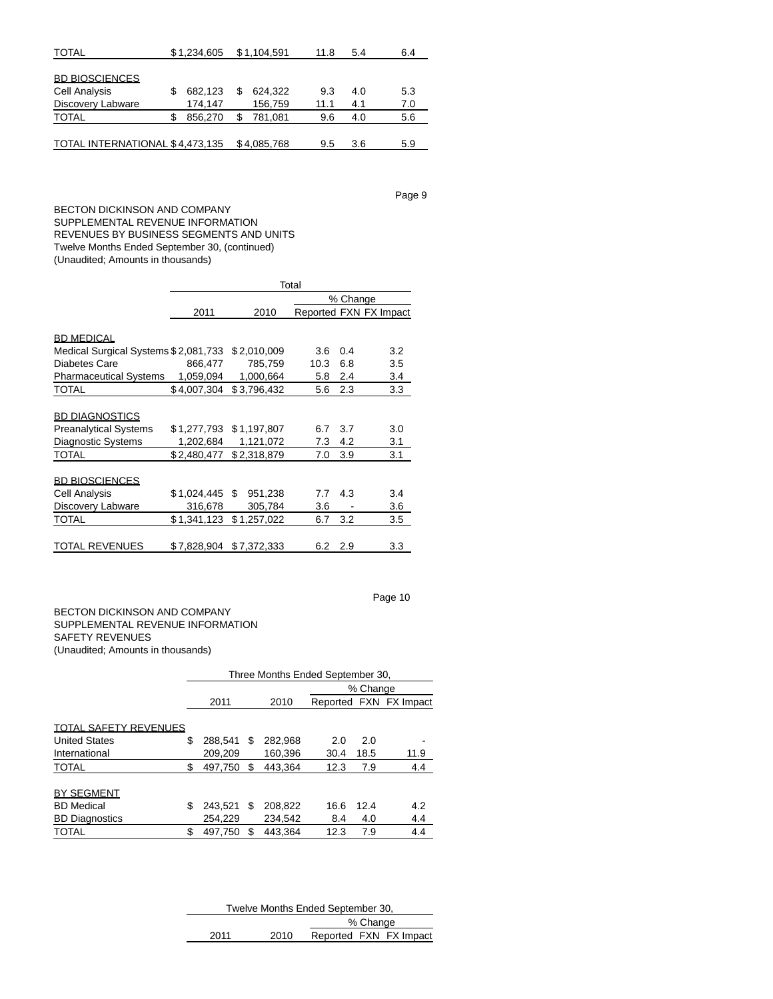| <b>TOTAL</b>                    | \$1,234,605 |   | \$1,104,591 | 11.8 | 5.4 | 6.4 |
|---------------------------------|-------------|---|-------------|------|-----|-----|
| <b>BD BIOSCIENCES</b>           |             |   |             |      |     |     |
| <b>Cell Analysis</b>            | 682,123     | S | 624,322     | 9.3  | 4.0 | 5.3 |
| Discovery Labware               | 174,147     |   | 156,759     | 11.1 | 4.1 | 7.0 |
| <b>TOTAL</b>                    | 856.270     |   | 781.081     | 9.6  | 4.0 | 5.6 |
| TOTAL INTERNATIONAL \$4,473,135 |             |   | \$4,085,768 | 9.5  | 3.6 | 5.9 |

Page 9

Page 10

BECTON DICKINSON AND COMPANY SUPPLEMENTAL REVENUE INFORMATION REVENUES BY BUSINESS SEGMENTS AND UNITS Twelve Months Ended September 30, (continued) (Unaudited; Amounts in thousands)

|                                      | Total       |              |      |          |                        |  |  |  |  |
|--------------------------------------|-------------|--------------|------|----------|------------------------|--|--|--|--|
|                                      |             |              |      | % Change |                        |  |  |  |  |
|                                      | 2011        | 2010         |      |          | Reported FXN FX Impact |  |  |  |  |
|                                      |             |              |      |          |                        |  |  |  |  |
| <b>BD MEDICAL</b>                    |             |              |      |          |                        |  |  |  |  |
| Medical Surgical Systems \$2,081,733 |             | \$2,010,009  | 3.6  | 0.4      | 3.2                    |  |  |  |  |
| Diabetes Care                        | 866,477     | 785,759      | 10.3 | 6.8      | 3.5                    |  |  |  |  |
| <b>Pharmaceutical Systems</b>        | 1,059,094   | 1,000,664    | 5.8  | 2.4      | 3.4                    |  |  |  |  |
| <b>TOTAL</b>                         | \$4,007,304 | \$3,796,432  | 5.6  | 2.3      | 3.3                    |  |  |  |  |
|                                      |             |              |      |          |                        |  |  |  |  |
| <b>BD DIAGNOSTICS</b>                |             |              |      |          |                        |  |  |  |  |
| <b>Preanalytical Systems</b>         | \$1,277,793 | \$1,197,807  | 6.7  | 3.7      | 3.0                    |  |  |  |  |
| <b>Diagnostic Systems</b>            | 1,202,684   | 1,121,072    | 7.3  | 4.2      | 3.1                    |  |  |  |  |
| <b>TOTAL</b>                         | \$2,480,477 | \$2,318,879  | 7.0  | 3.9      | 3.1                    |  |  |  |  |
|                                      |             |              |      |          |                        |  |  |  |  |
| <b>BD BIOSCIENCES</b>                |             |              |      |          |                        |  |  |  |  |
| Cell Analysis                        | \$1,024,445 | S<br>951,238 | 7.7  | 4.3      | 3.4                    |  |  |  |  |
| Discovery Labware                    | 316,678     | 305,784      | 3.6  |          | 3.6                    |  |  |  |  |
| TOTAL                                | \$1,341,123 | \$1,257,022  | 6.7  | 3.2      | 3.5                    |  |  |  |  |
|                                      |             |              |      |          |                        |  |  |  |  |
| <b>TOTAL REVENUES</b>                | \$7,828,904 | \$7,372,333  | 6.2  | 2.9      | 3.3                    |  |  |  |  |

## BECTON DICKINSON AND COMPANY SUPPLEMENTAL REVENUE INFORMATION SAFETY REVENUES (Unaudited; Amounts in thousands)

|                              |          | Three Months Ended September 30. |     |         |      |      |                        |  |  |  |
|------------------------------|----------|----------------------------------|-----|---------|------|------|------------------------|--|--|--|
|                              | % Change |                                  |     |         |      |      |                        |  |  |  |
|                              |          | 2011                             |     | 2010    |      |      | Reported FXN FX Impact |  |  |  |
|                              |          |                                  |     |         |      |      |                        |  |  |  |
| <b>TOTAL SAFETY REVENUES</b> |          |                                  |     |         |      |      |                        |  |  |  |
| <b>United States</b>         | S        | 288.541                          | S   | 282.968 | 2.0  | 2.0  |                        |  |  |  |
| International                |          | 209.209                          |     | 160.396 | 30.4 | 18.5 | 11.9                   |  |  |  |
| <b>TOTAL</b>                 | \$       | 497.750                          | \$. | 443.364 | 12.3 | 7.9  | 4.4                    |  |  |  |
|                              |          |                                  |     |         |      |      |                        |  |  |  |
| <b>BY SEGMENT</b>            |          |                                  |     |         |      |      |                        |  |  |  |
| <b>BD</b> Medical            | S        | 243.521                          | S   | 208.822 | 16.6 | 12.4 | 4.2                    |  |  |  |
| <b>BD Diagnostics</b>        |          | 254,229                          |     | 234.542 | 8.4  | 4.0  | 4.4                    |  |  |  |
| <b>TOTAL</b>                 | \$       | 497.750                          |     | 443.364 | 12.3 | 7.9  | 4.4                    |  |  |  |

| Twelve Months Ended September 30, |      |          |  |                        |  |  |  |
|-----------------------------------|------|----------|--|------------------------|--|--|--|
|                                   |      | % Change |  |                        |  |  |  |
| 2011                              | 2010 |          |  | Reported FXN FX Impact |  |  |  |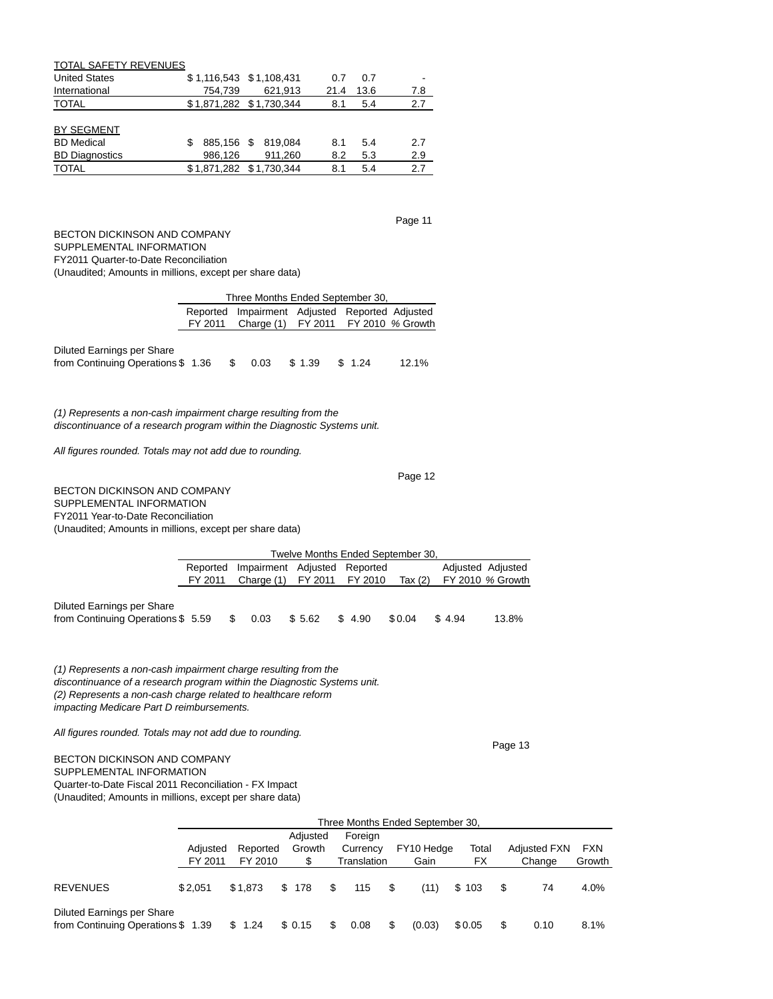| TOTAL SAFETY REVENUES |                         |                    |      |      |     |
|-----------------------|-------------------------|--------------------|------|------|-----|
| <b>United States</b>  | \$1,116,543 \$1,108,431 |                    | 0.7  | 0.7  |     |
| International         | 754.739                 | 621.913            | 21.4 | 13.6 | 7.8 |
| <b>TOTAL</b>          | \$1,871,282 \$1,730,344 |                    | 8.1  | 5.4  | 2.7 |
|                       |                         |                    |      |      |     |
| BY SEGMENT            |                         |                    |      |      |     |
| <b>BD</b> Medical     |                         | 885.156 \$ 819.084 | 8.1  | 5.4  | 2.7 |
| <b>BD Diagnostics</b> | 986,126                 | 911,260            | 8.2  | 5.3  | 2.9 |
| <b>TOTAL</b>          | \$1,871,282 \$1,730,344 |                    | 8.1  | 5.4  | 2.7 |
|                       |                         |                    |      |      |     |

BECTON DICKINSON AND COMPANY SUPPLEMENTAL INFORMATION FY2011 Quarter-to-Date Reconciliation (Unaudited; Amounts in millions, except per share data)

|                                                                                                                                            |          | Three Months Ended September 30,      |                          |        |       |  |  |  |  |  |
|--------------------------------------------------------------------------------------------------------------------------------------------|----------|---------------------------------------|--------------------------|--------|-------|--|--|--|--|--|
|                                                                                                                                            | Reported | Impairment Adjusted Reported Adjusted |                          |        |       |  |  |  |  |  |
|                                                                                                                                            | FY 2011  | Charge (1)                            | FY 2011 FY 2010 % Growth |        |       |  |  |  |  |  |
| Diluted Earnings per Share<br>from Continuing Operations \$1.36                                                                            | S        | 0.03                                  | \$1.39                   | \$1.24 | 12.1% |  |  |  |  |  |
| (1) Represents a non-cash impairment charge resulting from the<br>discontinuance of a research program within the Diagnostic Systems unit. |          |                                       |                          |        |       |  |  |  |  |  |
| All figures rounded. Totals may not add due to rounding.                                                                                   |          |                                       |                          |        |       |  |  |  |  |  |
|                                                                                                                                            |          |                                       |                          |        | Page  |  |  |  |  |  |

BECTON DICKINSON AND COMPANY SUPPLEMENTAL INFORMATION FY2011 Year-to-Date Reconciliation (Unaudited; Amounts in millions, except per share data)

|                                   | Twelve Months Ended September 30, |                              |         |         |         |        |                   |  |  |  |
|-----------------------------------|-----------------------------------|------------------------------|---------|---------|---------|--------|-------------------|--|--|--|
|                                   | Reported                          | Impairment Adjusted Reported |         |         |         |        | Adjusted Adjusted |  |  |  |
|                                   | FY 2011                           | Charge (1)                   | FY 2011 | FY 2010 | Tax (2) |        | FY 2010 % Growth  |  |  |  |
|                                   |                                   |                              |         |         |         |        |                   |  |  |  |
| Diluted Earnings per Share        |                                   |                              |         |         |         |        |                   |  |  |  |
| from Continuing Operations \$5.59 |                                   | 0.03                         | \$5.62  | \$4.90  | \$0.04  | \$4.94 | 13.8%             |  |  |  |

(1) Represents a non-cash impairment charge resulting from the discontinuance of a research program within the Diagnostic Systems unit. (2) Represents a non-cash charge related to healthcare reform impacting Medicare Part D reimbursements.

All figures rounded. Totals may not add due to rounding.

# BECTON DICKINSON AND COMPANY

SUPPLEMENTAL INFORMATION Quarter-to-Date Fiscal 2011 Reconciliation - FX Impact (Unaudited; Amounts in millions, except per share data)

|                                                                 | Three Months Ended September 30, |          |          |    |             |    |            |        |    |                     |        |
|-----------------------------------------------------------------|----------------------------------|----------|----------|----|-------------|----|------------|--------|----|---------------------|--------|
|                                                                 |                                  |          | Adjusted |    | Foreign     |    |            |        |    |                     |        |
|                                                                 | Adjusted                         | Reported | Growth   |    | Currency    |    | FY10 Hedge | Total  |    | <b>Adjusted FXN</b> | FXN    |
|                                                                 | FY 2011                          | FY 2010  | \$       |    | Translation |    | Gain       | FX     |    | Change              | Growth |
| <b>REVENUES</b>                                                 | \$2.051                          | \$1.873  | \$178    | -S | 115         | S. | (11)       | \$103  | \$ | 74                  | 4.0%   |
| Diluted Earnings per Share<br>from Continuing Operations \$1.39 |                                  | \$1.24   | \$ 0.15  |    | 0.08        |    | (0.03)     | \$0.05 | \$ | 0.10                | 8.1%   |

Page 11

Page 13